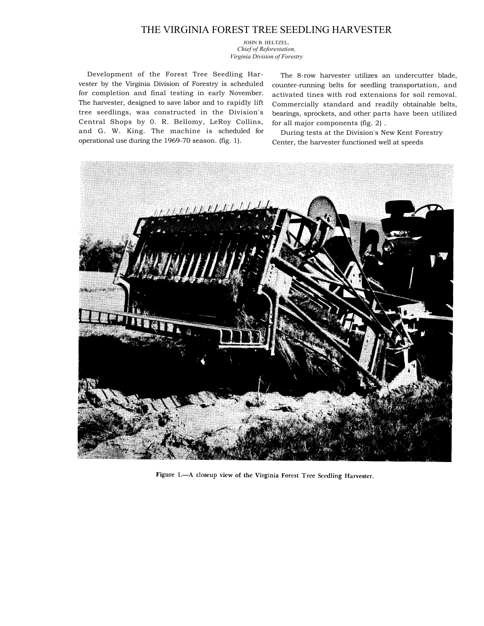## THE VIRGINIA FOREST TREE SEEDLING HARVESTER

JOHN B. HELTZEL, *Chief of Reforestation, Virginia Division of Forestry* 

Development of the Forest Tree Seedling Harvester by the Virginia Division of Forestry is scheduled for completion and final testing in early November. The harvester, designed to save labor and to rapidly lift tree seedlings, was constructed in the Division's Central Shops by 0. R. Bellomy, LeRoy Collins, and G. W. King. The machine is scheduled for operational use during the 1969-70 season. (fig. 1).

The 8-row harvester utilizes an undercutter blade, counter-running belts for seedling transportation, and activated tines with rod extensions for soil removal. Commercially standard and readily obtainable belts, bearings, sprockets, and other parts have been utilized for all major components (fig. 2) .

During tests at the Division's New Kent Forestry Center, the harvester functioned well at speeds



Figure 1.- A closeup view of the Virginia Forest Tree Seedling Harvester.